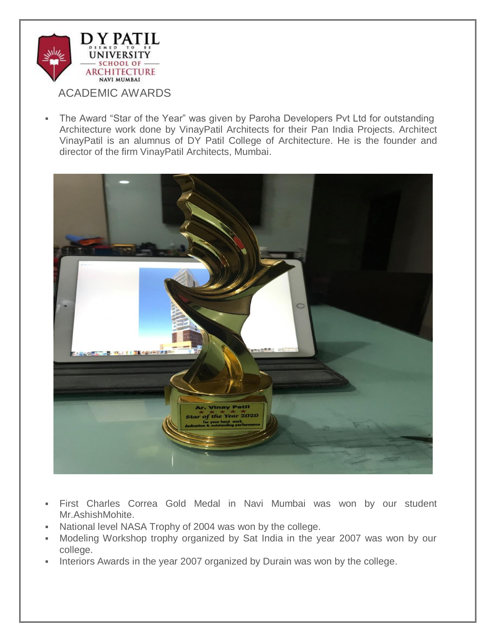

 The Award "Star of the Year" was given by Paroha Developers Pvt Ltd for outstanding Architecture work done by VinayPatil Architects for their Pan India Projects. Architect VinayPatil is an alumnus of DY Patil College of Architecture. He is the founder and director of the firm VinayPatil Architects, Mumbai.



- First Charles Correa Gold Medal in Navi Mumbai was won by our student Mr.AshishMohite.
- National level NASA Trophy of 2004 was won by the college.
- Modeling Workshop trophy organized by Sat India in the year 2007 was won by our college.
- Interiors Awards in the year 2007 organized by Durain was won by the college.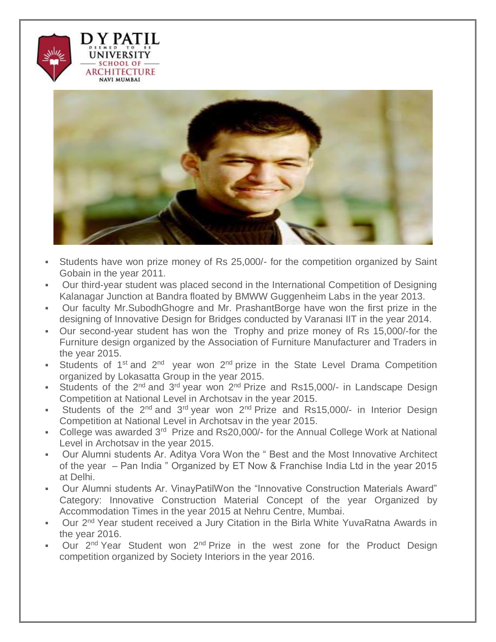



- Students have won prize money of Rs 25,000/- for the competition organized by Saint Gobain in the year 2011.
- Our third-year student was placed second in the International Competition of Designing Kalanagar Junction at Bandra floated by BMWW Guggenheim Labs in the year 2013.
- Our faculty Mr.SubodhGhogre and Mr. PrashantBorge have won the first prize in the designing of Innovative Design for Bridges conducted by Varanasi IIT in the year 2014.
- Our second-year student has won the Trophy and prize money of Rs 15,000/-for the Furniture design organized by the Association of Furniture Manufacturer and Traders in the year 2015.
- Students of 1<sup>st</sup> and 2<sup>nd</sup> year won 2<sup>nd</sup> prize in the State Level Drama Competition organized by Lokasatta Group in the year 2015.
- Students of the  $2^{nd}$  and  $3^{rd}$  year won  $2^{nd}$  Prize and Rs15,000/- in Landscape Design Competition at National Level in Archotsav in the year 2015.
- Students of the  $2^{nd}$  and  $3^{rd}$  year won  $2^{nd}$  Prize and Rs15,000/- in Interior Design Competition at National Level in Archotsav in the year 2015.
- College was awarded 3<sup>rd</sup> Prize and Rs20,000/- for the Annual College Work at National Level in Archotsav in the year 2015.
- Our Alumni students Ar. Aditya Vora Won the " Best and the Most Innovative Architect of the year – Pan India " Organized by ET Now & Franchise India Ltd in the year 2015 at Delhi.
- Our Alumni students Ar. VinayPatilWon the "Innovative Construction Materials Award" Category: Innovative Construction Material Concept of the year Organized by Accommodation Times in the year 2015 at Nehru Centre, Mumbai.
- Our 2<sup>nd</sup> Year student received a Jury Citation in the Birla White YuvaRatna Awards in the year 2016.
- Our 2<sup>nd</sup> Year Student won 2<sup>nd</sup> Prize in the west zone for the Product Design competition organized by Society Interiors in the year 2016.